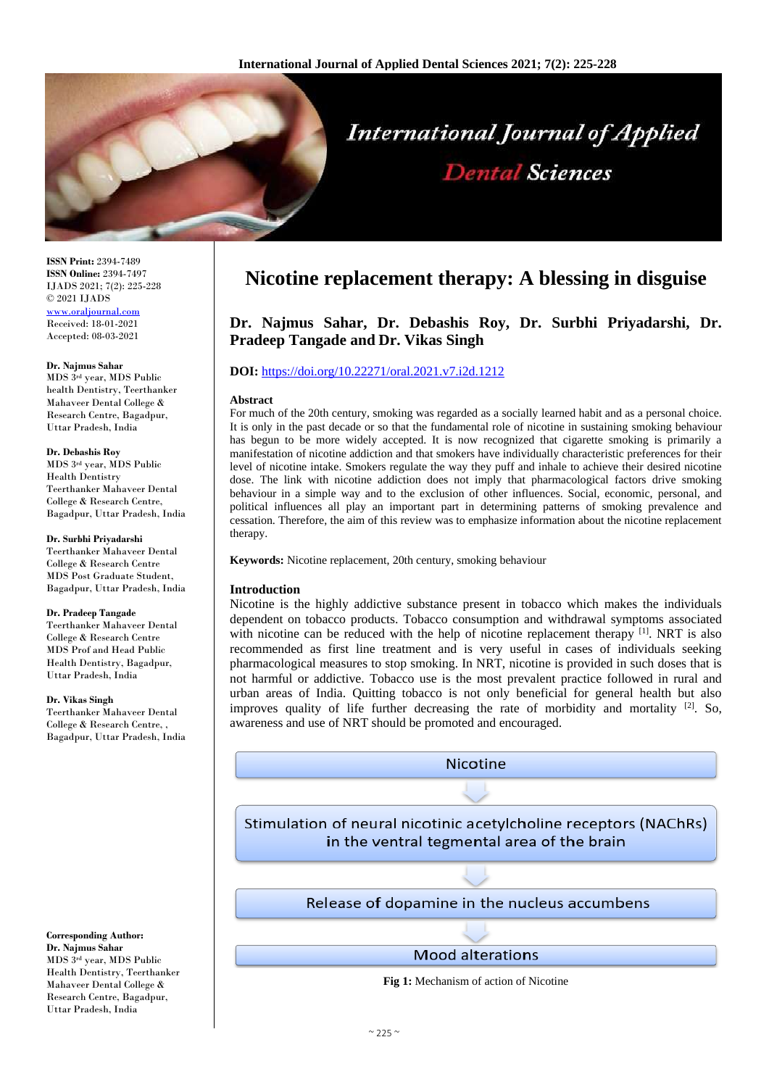

**ISSN Print:** 2394-7489 **ISSN Online:** 2394-7497 IJADS 2021; 7(2): 225-228 © 2021 IJADS [www.oraljournal.com](http://www.oraljournal.com/) Received: 18-01-2021 Accepted: 08-03-2021

#### **Dr. Najmus Sahar**

MDS 3rd year, MDS Public health Dentistry, Teerthanker Mahaveer Dental College & Research Centre, Bagadpur, Uttar Pradesh, India

#### **Dr. Debashis Roy**

MDS 3rd year, MDS Public Health Dentistry Teerthanker Mahaveer Dental College & Research Centre, Bagadpur, Uttar Pradesh, India

#### **Dr. Surbhi Priyadarshi**

Teerthanker Mahaveer Dental College & Research Centre MDS Post Graduate Student, Bagadpur, Uttar Pradesh, India

#### **Dr. Pradeep Tangade**

Teerthanker Mahaveer Dental College & Research Centre MDS Prof and Head Public Health Dentistry, Bagadpur, Uttar Pradesh, India

#### **Dr. Vikas Singh**

Teerthanker Mahaveer Dental College & Research Centre, , Bagadpur, Uttar Pradesh, India

#### **Corresponding Author: Dr. Najmus Sahar** MDS 3rd year, MDS Public Health Dentistry, Teerthanker Mahaveer Dental College & Research Centre, Bagadpur, Uttar Pradesh, India

# **Nicotine replacement therapy: A blessing in disguise**

## **Dr. Najmus Sahar, Dr. Debashis Roy, Dr. Surbhi Priyadarshi, Dr. Pradeep Tangade and Dr. Vikas Singh**

## **DOI:** <https://doi.org/10.22271/oral.2021.v7.i2d.1212>

#### **Abstract**

For much of the 20th century, smoking was regarded as a socially learned habit and as a personal choice. It is only in the past decade or so that the fundamental role of nicotine in sustaining smoking behaviour has begun to be more widely accepted. It is now recognized that cigarette smoking is primarily a manifestation of nicotine addiction and that smokers have individually characteristic preferences for their level of nicotine intake. Smokers regulate the way they puff and inhale to achieve their desired nicotine dose. The link with nicotine addiction does not imply that pharmacological factors drive smoking behaviour in a simple way and to the exclusion of other influences. Social, economic, personal, and political influences all play an important part in determining patterns of smoking prevalence and cessation. Therefore, the aim of this review was to emphasize information about the nicotine replacement therapy.

**Keywords:** Nicotine replacement, 20th century, smoking behaviour

## **Introduction**

Nicotine is the highly addictive substance present in tobacco which makes the individuals dependent on tobacco products. Tobacco consumption and withdrawal symptoms associated with nicotine can be reduced with the help of nicotine replacement therapy [1]. NRT is also recommended as first line treatment and is very useful in cases of individuals seeking pharmacological measures to stop smoking. In NRT, nicotine is provided in such doses that is not harmful or addictive. Tobacco use is the most prevalent practice followed in rural and urban areas of India. Quitting tobacco is not only beneficial for general health but also improves quality of life further decreasing the rate of morbidity and mortality  $[2]$ . So, awareness and use of NRT should be promoted and encouraged.

**Nicotine** 

Stimulation of neural nicotinic acetylcholine receptors (NAChRs) in the ventral tegmental area of the brain

Release of dopamine in the nucleus accumbens

**Mood alterations** 

**Fig 1:** Mechanism of action of Nicotine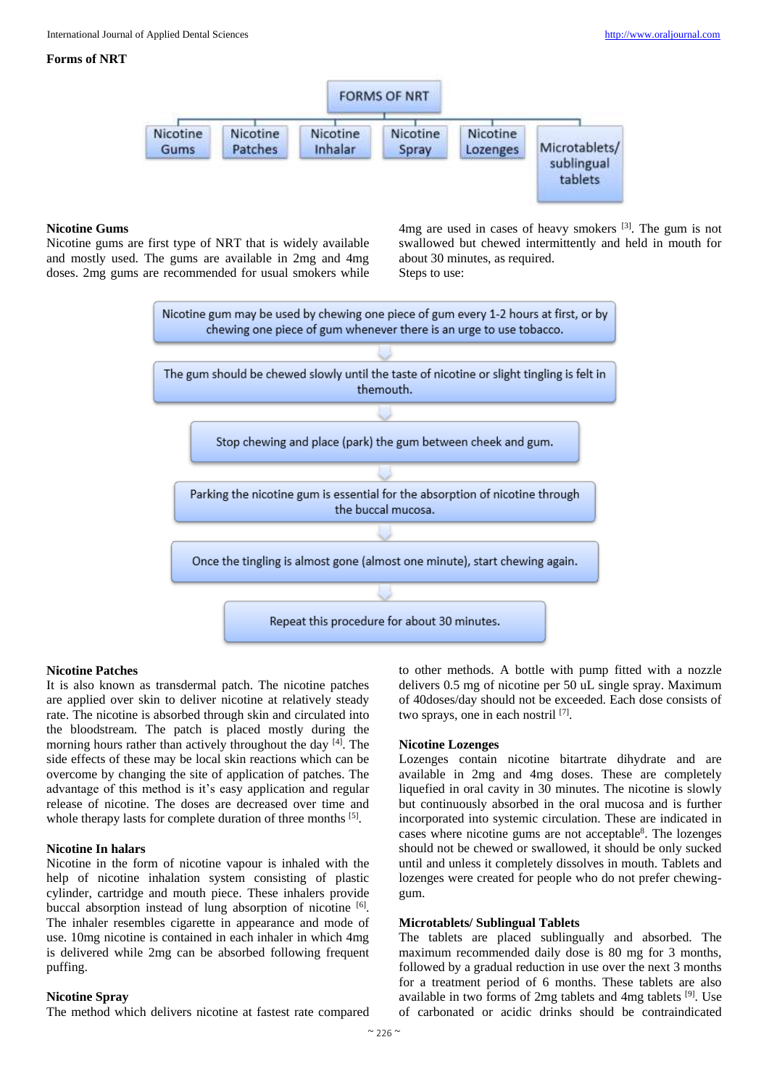## **Forms of NRT**



## **Nicotine Gums**

Nicotine gums are first type of NRT that is widely available and mostly used. The gums are available in 2mg and 4mg doses. 2mg gums are recommended for usual smokers while

 $4mg$  are used in cases of heavy smokers  $[3]$ . The gum is not swallowed but chewed intermittently and held in mouth for about 30 minutes, as required. Steps to use:



## **Nicotine Patches**

It is also known as transdermal patch. The nicotine patches are applied over skin to deliver nicotine at relatively steady rate. The nicotine is absorbed through skin and circulated into the bloodstream. The patch is placed mostly during the morning hours rather than actively throughout the day <sup>[4]</sup>. The side effects of these may be local skin reactions which can be overcome by changing the site of application of patches. The advantage of this method is it's easy application and regular release of nicotine. The doses are decreased over time and whole therapy lasts for complete duration of three months [5].

#### **Nicotine In halars**

Nicotine in the form of nicotine vapour is inhaled with the help of nicotine inhalation system consisting of plastic cylinder, cartridge and mouth piece. These inhalers provide buccal absorption instead of lung absorption of nicotine [6]. The inhaler resembles cigarette in appearance and mode of use. 10mg nicotine is contained in each inhaler in which 4mg is delivered while 2mg can be absorbed following frequent puffing.

#### **Nicotine Spray**

The method which delivers nicotine at fastest rate compared

to other methods. A bottle with pump fitted with a nozzle delivers 0.5 mg of nicotine per 50 uL single spray. Maximum of 40doses/day should not be exceeded. Each dose consists of two sprays, one in each nostril [7].

#### **Nicotine Lozenges**

Lozenges contain nicotine bitartrate dihydrate and are available in 2mg and 4mg doses. These are completely liquefied in oral cavity in 30 minutes. The nicotine is slowly but continuously absorbed in the oral mucosa and is further incorporated into systemic circulation. These are indicated in cases where nicotine gums are not acceptable<sup>8</sup>. The lozenges should not be chewed or swallowed, it should be only sucked until and unless it completely dissolves in mouth. Tablets and lozenges were created for people who do not prefer chewinggum.

## **Microtablets/ Sublingual Tablets**

The tablets are placed sublingually and absorbed. The maximum recommended daily dose is 80 mg for 3 months, followed by a gradual reduction in use over the next 3 months for a treatment period of 6 months. These tablets are also available in two forms of 2mg tablets and 4mg tablets [9] . Use of carbonated or acidic drinks should be contraindicated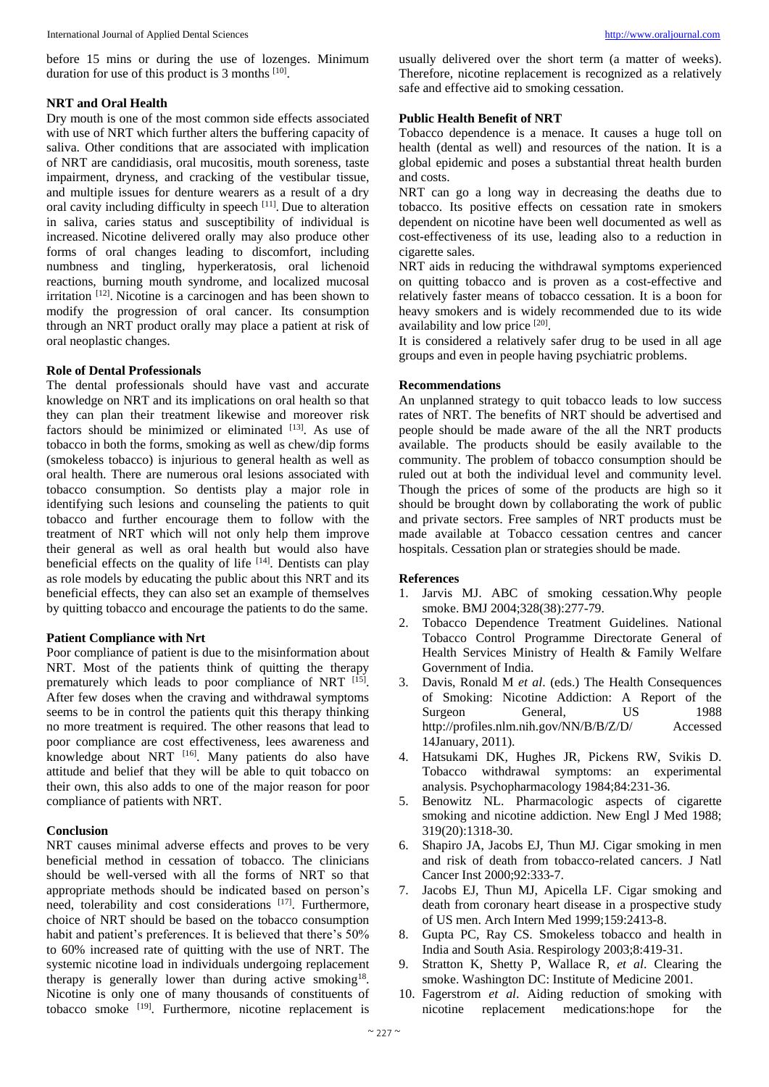before 15 mins or during the use of lozenges. Minimum duration for use of this product is 3 months [10].

## **NRT and Oral Health**

Dry mouth is one of the most common side effects associated with use of NRT which further alters the buffering capacity of saliva. Other conditions that are associated with implication of NRT are candidiasis, oral mucositis, mouth soreness, taste impairment, dryness, and cracking of the vestibular tissue, and multiple issues for denture wearers as a result of a dry oral cavity including difficulty in speech [11]. Due to alteration in saliva, caries status and susceptibility of individual is increased. Nicotine delivered orally may also produce other forms of oral changes leading to discomfort, including numbness and tingling, hyperkeratosis, oral lichenoid reactions, burning mouth syndrome, and localized mucosal irritation <sup>[12]</sup>. Nicotine is a carcinogen and has been shown to modify the progression of oral cancer. Its consumption through an NRT product orally may place a patient at risk of oral neoplastic changes.

## **Role of Dental Professionals**

The dental professionals should have vast and accurate knowledge on NRT and its implications on oral health so that they can plan their treatment likewise and moreover risk factors should be minimized or eliminated [13]. As use of tobacco in both the forms, smoking as well as chew/dip forms (smokeless tobacco) is injurious to general health as well as oral health. There are numerous oral lesions associated with tobacco consumption. So dentists play a major role in identifying such lesions and counseling the patients to quit tobacco and further encourage them to follow with the treatment of NRT which will not only help them improve their general as well as oral health but would also have beneficial effects on the quality of life  $[14]$ . Dentists can play as role models by educating the public about this NRT and its beneficial effects, they can also set an example of themselves by quitting tobacco and encourage the patients to do the same.

## **Patient Compliance with Nrt**

Poor compliance of patient is due to the misinformation about NRT. Most of the patients think of quitting the therapy prematurely which leads to poor compliance of NRT [15]. After few doses when the craving and withdrawal symptoms seems to be in control the patients quit this therapy thinking no more treatment is required. The other reasons that lead to poor compliance are cost effectiveness, lees awareness and knowledge about NRT <a>[16]</a>. Many patients do also have attitude and belief that they will be able to quit tobacco on their own, this also adds to one of the major reason for poor compliance of patients with NRT.

## **Conclusion**

NRT causes minimal adverse effects and proves to be very beneficial method in cessation of tobacco. The clinicians should be well-versed with all the forms of NRT so that appropriate methods should be indicated based on person's need, tolerability and cost considerations [17]. Furthermore, choice of NRT should be based on the tobacco consumption habit and patient's preferences. It is believed that there's 50% to 60% increased rate of quitting with the use of NRT. The systemic nicotine load in individuals undergoing replacement therapy is generally lower than during active smoking<sup>18</sup>. Nicotine is only one of many thousands of constituents of tobacco smoke <sup>[19]</sup>. Furthermore, nicotine replacement is usually delivered over the short term (a matter of weeks). Therefore, nicotine replacement is recognized as a relatively safe and effective aid to smoking cessation.

## **Public Health Benefit of NRT**

Tobacco dependence is a menace. It causes a huge toll on health (dental as well) and resources of the nation. It is a global epidemic and poses a substantial threat health burden and costs.

NRT can go a long way in decreasing the deaths due to tobacco. Its positive effects on cessation rate in smokers dependent on nicotine have been well documented as well as cost-effectiveness of its use, leading also to a reduction in cigarette sales.

NRT aids in reducing the withdrawal symptoms experienced on quitting tobacco and is proven as a cost-effective and relatively faster means of tobacco cessation. It is a boon for heavy smokers and is widely recommended due to its wide availability and low price [20].

It is considered a relatively safer drug to be used in all age groups and even in people having psychiatric problems.

## **Recommendations**

An unplanned strategy to quit tobacco leads to low success rates of NRT. The benefits of NRT should be advertised and people should be made aware of the all the NRT products available. The products should be easily available to the community. The problem of tobacco consumption should be ruled out at both the individual level and community level. Though the prices of some of the products are high so it should be brought down by collaborating the work of public and private sectors. Free samples of NRT products must be made available at Tobacco cessation centres and cancer hospitals. Cessation plan or strategies should be made.

## **References**

- 1. Jarvis MJ. ABC of smoking cessation.Why people smoke. BMJ 2004;328(38):277-79.
- 2. Tobacco Dependence Treatment Guidelines. National Tobacco Control Programme Directorate General of Health Services Ministry of Health & Family Welfare Government of India.
- 3. Davis, Ronald M *et al*. (eds.) The Health Consequences of Smoking: Nicotine Addiction: A Report of the Surgeon General, US 1988 http://profiles.nlm.nih.gov/NN/B/B/Z/D/ Accessed 14January, 2011).
- 4. Hatsukami DK, Hughes JR, Pickens RW, Svikis D. Tobacco withdrawal symptoms: an experimental analysis. Psychopharmacology 1984;84:231-36.
- 5. Benowitz NL. Pharmacologic aspects of cigarette smoking and nicotine addiction. New Engl J Med 1988; 319(20):1318-30.
- 6. Shapiro JA, Jacobs EJ, Thun MJ. Cigar smoking in men and risk of death from tobacco-related cancers. J Natl Cancer Inst 2000;92:333-7.
- 7. Jacobs EJ, Thun MJ, Apicella LF. Cigar smoking and death from coronary heart disease in a prospective study of US men. Arch Intern Med 1999;159:2413-8.
- 8. Gupta PC, Ray CS. Smokeless tobacco and health in India and South Asia. Respirology 2003;8:419-31.
- 9. Stratton K, Shetty P, Wallace R, *et al*. Clearing the smoke. Washington DC: Institute of Medicine 2001.
- 10. Fagerstrom *et al*. Aiding reduction of smoking with nicotine replacement medications:hope for the